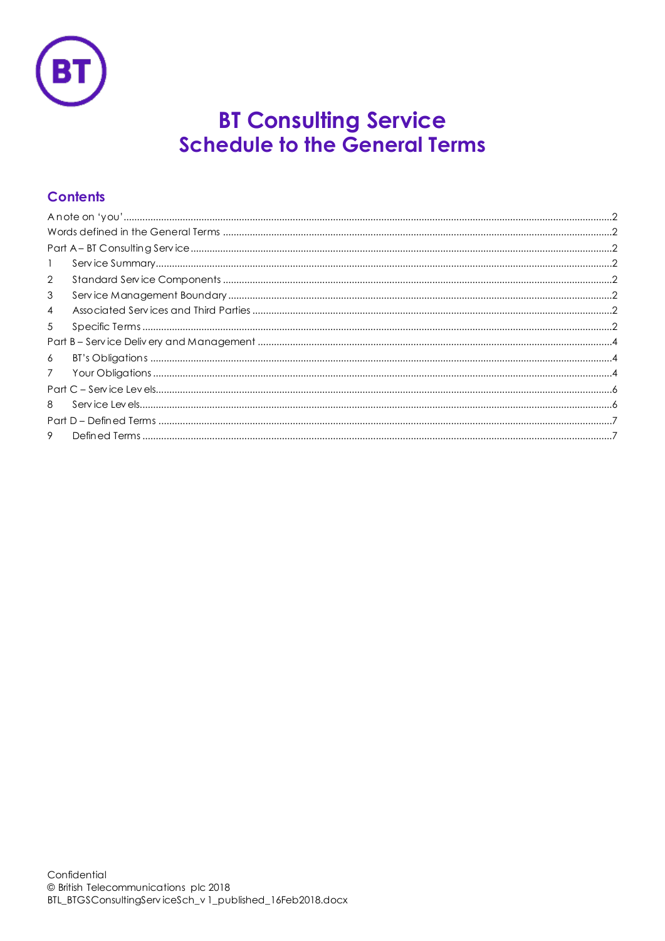

# **BT Consulting Service<br>Schedule to the General Terms**

# **Contents**

| $\mathbf{1}$    |  |
|-----------------|--|
| 2               |  |
| 3               |  |
| $\overline{4}$  |  |
| 5               |  |
|                 |  |
| 6               |  |
| $7\overline{ }$ |  |
|                 |  |
| 8               |  |
|                 |  |
| 9               |  |
|                 |  |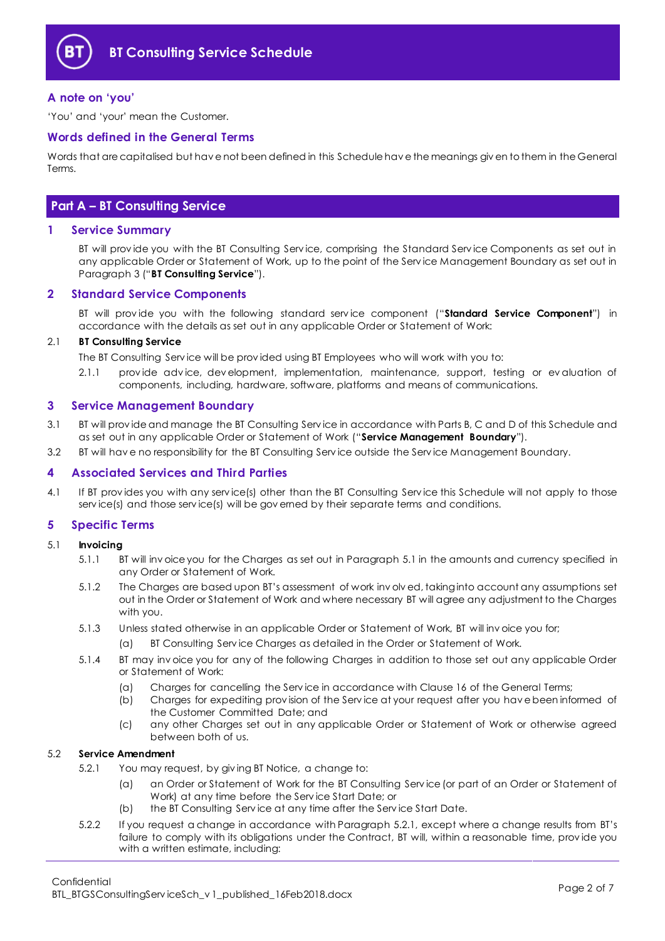

# <span id="page-1-0"></span>**A note on 'you'**

'You' and 'your' mean the Customer.

# <span id="page-1-1"></span>**Words defined in the General Terms**

Words that are capitalised but hav e not been defined in this Schedule hav e the meanings giv en to them in the General Terms.

# <span id="page-1-2"></span>**Part A – BT Consulting Service**

# <span id="page-1-3"></span>**1 Service Summary**

BT will prov ide you with the BT Consulting Serv ice, comprising the Standard Serv ice Components as set out in any applicable Order or Statement of Work, up to the point of the Serv ice Management Boundary as set out in Paragraph [3](#page-1-5) ("**BT Consulting Service**").

# <span id="page-1-4"></span>**2 Standard Service Components**

BT will prov ide you with the following standard serv ice component ("**Standard Service Component**") in accordance with the details as set out in any applicable Order or Statement of Work:

## 2.1 **BT Consulting Service**

The BT Consulting Serv ice will be prov ided using BT Employees who will work with you to:

2.1.1 prov ide adv ice, dev elopment, implementation, maintenance, support, testing or ev aluation of components, including, hardware, software, platforms and means of communications.

# <span id="page-1-5"></span>**3 Service Management Boundary**

- <span id="page-1-10"></span>3.1 BT will prov ide and manage the BT Consulting Serv ice in accordance with Parts B, C and D of this Schedule and as set out in any applicable Order or Statement of Work ("**Service Management Boundary**").
- 3.2 BT will hav e no responsibility for the BT Consulting Serv ice outside the Serv ice Management Boundary.

## <span id="page-1-6"></span>**4 Associated Services and Third Parties**

4.1 If BT provides you with any service(s) other than the BT Consulting Service this Schedule will not apply to those serv ice(s) and those serv ice(s) will be gov erned by their separate terms and conditions.

## <span id="page-1-7"></span>**5 Specific Terms**

- <span id="page-1-8"></span>5.1 **Invoicing** 
	- 5.1.1 BT will inv oice you for the Charges as set out in Paragrap[h 5.1](#page-1-8) in the amounts and currency specified in any Order or Statement of Work.
	- 5.1.2 The Charges are based upon BT's assessment of work inv olv ed, taking into account any assumptions set out in the Order or Statement of Work and where necessary BT will agree any adjustment to the Charges with you.
	- 5.1.3 Unless stated otherwise in an applicable Order or Statement of Work, BT will inv oice you for;
		- (a) BT Consulting Serv ice Charges as detailed in the Order or Statement of Work.
	- 5.1.4 BT may inv oice you for any of the following Charges in addition to those set out any applicable Order or Statement of Work:
		- (a) Charges for cancelling the Serv ice in accordance with Clause 16 of the General Terms;
		- (b) Charges for expediting prov ision of the Serv ice at your request after you hav e been informed of the Customer Committed Date; and
		- (c) any other Charges set out in any applicable Order or Statement of Work or otherwise agreed between both of us.

## <span id="page-1-9"></span>5.2 **Service Amendment**

- 5.2.1 You may request, by giv ing BT Notice, a change to:
	- (a) an Order or Statement of Work for the BT Consulting Serv ice (or part of an Order or Statement of Work) at any time before the Serv ice Start Date; or
	- (b) the BT Consulting Serv ice at any time after the Serv ice Start Date.
- 5.2.2 If you request a change in accordance with Paragrap[h 5.2.1,](#page-1-9) except where a change results from BT's failure to comply with its obligations under the Contract, BT will, within a reasonable time, prov ide you with a written estimate, including: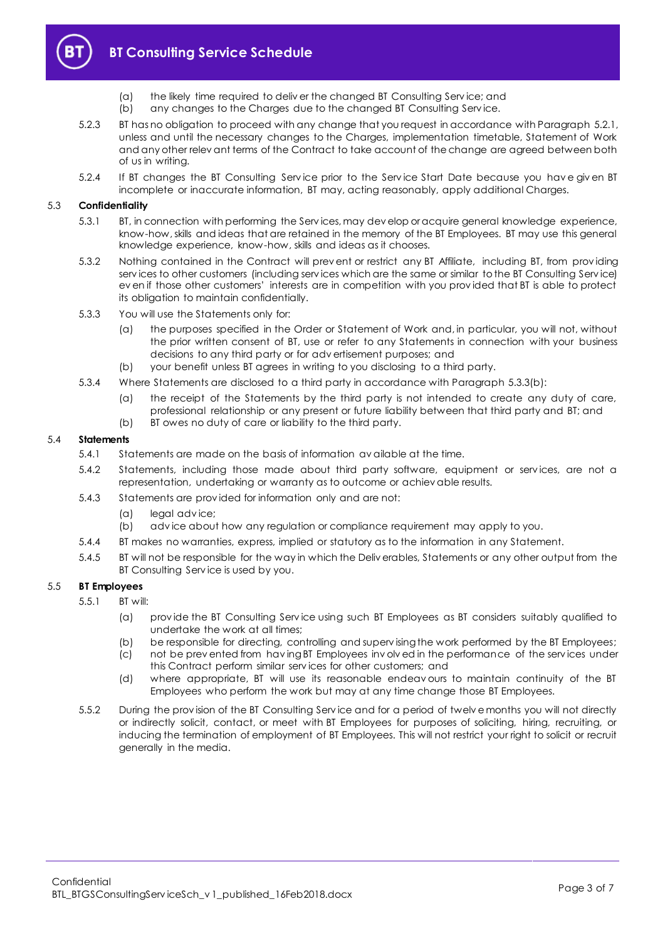

- (a) the likely time required to deliv er the changed BT Consulting Serv ice; and
- (b) any changes to the Charges due to the changed BT Consulting Serv ice.
- 5.2.3 BT has no obligation to proceed with any change that you request in accordance with Paragrap[h 5.2.1,](#page-1-9) unless and until the necessary changes to the Charges, implementation timetable, Statement of Work and any other relev ant terms of the Contract to take account of the change are agreed between both of us in writing.
- 5.2.4 If BT changes the BT Consulting Serv ice prior to the Serv ice Start Date because you hav e giv en BT incomplete or inaccurate information, BT may, acting reasonably, apply additional Charges.

## 5.3 **Confidentiality**

- 5.3.1 BT, in connection with performing the Serv ices, may dev elop or acquire general knowledge experience, know-how, skills and ideas that are retained in the memory of the BT Employees. BT may use this general knowledge experience, know-how, skills and ideas as it chooses.
- 5.3.2 Nothing contained in the Contract will prev ent or restrict any BT Affiliate, including BT, from prov iding serv ices to other customers (including serv ices which are the same or similar to the BT Consulting Serv ice) ev en if those other customers' interests are in competition with you prov ided that BT is able to protect its obligation to maintain confidentially.
- 5.3.3 You will use the Statements only for:
	- (a) the purposes specified in the Order or Statement of Work and, in particular, you will not, without the prior written consent of BT, use or refer to any Statements in connection with your business decisions to any third party or for adv ertisement purposes; and
	- (b) your benefit unless BT agrees in writing to you disclosing to a third party.
- <span id="page-2-0"></span>5.3.4 Where Statements are disclosed to a third party in accordance with Paragraph [5.3.3\(b\):](#page-2-0)
	- (a) the receipt of the Statements by the third party is not intended to create any duty of care, professional relationship or any present or future liability between that third party and BT; and
	- (b) BT owes no duty of care or liability to the third party.

#### 5.4 **Statements**

- 5.4.1 Statements are made on the basis of information av ailable at the time.
- 5.4.2 Statements, including those made about third party software, equipment or serv ices, are not a representation, undertaking or warranty as to outcome or achiev able results.
- 5.4.3 Statements are prov ided for information only and are not:
	- (a) legal adv ice;
	- (b) adv ice about how any regulation or compliance requirement may apply to you.
- 5.4.4 BT makes no warranties, express, implied or statutory as to the information in any Statement.
- 5.4.5 BT will not be responsible for the way in which the Deliv erables, Statements or any other output from the BT Consulting Serv ice is used by you.

#### 5.5 **BT Employees**

- 5.5.1 BT will:
	- (a) prov ide the BT Consulting Serv ice using such BT Employees as BT considers suitably qualified to undertake the work at all times;
	- (b) be responsible for directing, controlling and superv ising the work performed by the BT Employees;
	- (c) not be prev ented from hav ing BT Employees inv olv ed in the performance of the serv ices under this Contract perform similar serv ices for other customers; and
	- (d) where appropriate, BT will use its reasonable endeav ours to maintain continuity of the BT Employees who perform the work but may at any time change those BT Employees.
- 5.5.2 During the prov ision of the BT Consulting Serv ice and for a period of twelv e months you will not directly or indirectly solicit, contact, or meet with BT Employees for purposes of soliciting, hiring, recruiting, or inducing the termination of employment of BT Employees. This will not restrict your right to solicit or recruit generally in the media.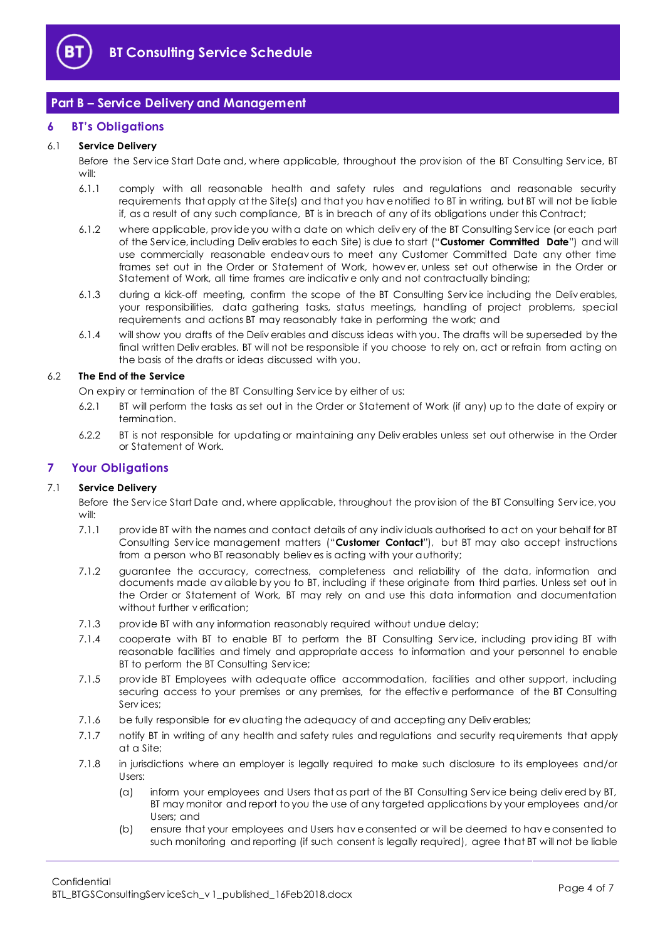

# <span id="page-3-0"></span>**Part B – Service Delivery and Management**

# <span id="page-3-1"></span>**6 BT's Obligations**

# 6.1 **Service Delivery**

Before the Serv ice Start Date and, where applicable, throughout the prov ision of the BT Consulting Serv ice, BT will:

- 6.1.1 comply with all reasonable health and safety rules and regulations and reasonable security requirements that apply at the Site(s) and that you hav e notified to BT in writing, but BT will not be liable if, as a result of any such compliance, BT is in breach of any of its obligations under this Contract;
- 6.1.2 where applicable, prov ide you with a date on which deliv ery of the BT Consulting Serv ice (or each part of the Serv ice, including Deliv erables to each Site) is due to start ("**Customer Committed Date**") and will use commercially reasonable endeav ours to meet any Customer Committed Date any other time frames set out in the Order or Statement of Work, howev er, unless set out otherwise in the Order or Statement of Work, all time frames are indicativ e only and not contractually binding;
- 6.1.3 during a kick-off meeting, confirm the scope of the BT Consulting Serv ice including the Deliv erables, your responsibilities, data gathering tasks, status meetings, handling of project problems, special requirements and actions BT may reasonably take in performing the work; and
- 6.1.4 will show you drafts of the Deliv erables and discuss ideas with you. The drafts will be superseded by the final written Deliv erables. BT will not be responsible if you choose to rely on, act or refrain from acting on the basis of the drafts or ideas discussed with you.

# 6.2 **The End of the Service**

On expiry or termination of the BT Consulting Serv ice by either of us:

- 6.2.1 BT will perform the tasks as set out in the Order or Statement of Work (if any) up to the date of expiry or termination.
- 6.2.2 BT is not responsible for updating or maintaining any Deliv erables unless set out otherwise in the Order or Statement of Work.

# <span id="page-3-2"></span>**7 Your Obligations**

# 7.1 **Service Delivery**

Before the Serv ice Start Date and, where applicable, throughout the prov ision of the BT Consulting Serv ice, you will:

- 7.1.1 prov ide BT with the names and contact details of any indiv iduals authorised to act on your behalf for BT Consulting Serv ice management matters ("**Customer Contact**"), but BT may also accept instructions from a person who BT reasonably believ es is acting with your authority;
- 7.1.2 guarantee the accuracy, correctness, completeness and reliability of the data, information and documents made av ailable by you to BT, including if these originate from third parties. Unless set out in the Order or Statement of Work, BT may rely on and use this data information and documentation without further v erification:
- 7.1.3 prov ide BT with any information reasonably required without undue delay;
- 7.1.4 cooperate with BT to enable BT to perform the BT Consulting Service, including providing BT with reasonable facilities and timely and appropriate access to information and your personnel to enable BT to perform the BT Consulting Serv ice;
- 7.1.5 prov ide BT Employees with adequate office accommodation, facilities and other support, including securing access to your premises or any premises, for the effectiv e performance of the BT Consulting Serv ices;
- 7.1.6 be fully responsible for ev aluating the adequacy of and accepting any Deliv erables;
- 7.1.7 notify BT in writing of any health and safety rules and regulations and security requirements that apply at a Site;
- 7.1.8 in jurisdictions where an employer is legally required to make such disclosure to its employees and/or Users:
	- (a) inform your employees and Users that as part of the BT Consulting Serv ice being deliv ered by BT, BT may monitor and report to you the use of any targeted applications by your employees and/or Users; and
	- (b) ensure that your employees and Users hav e consented or will be deemed to hav e consented to such monitoring and reporting (if such consent is legally required), agree that BT will not be liable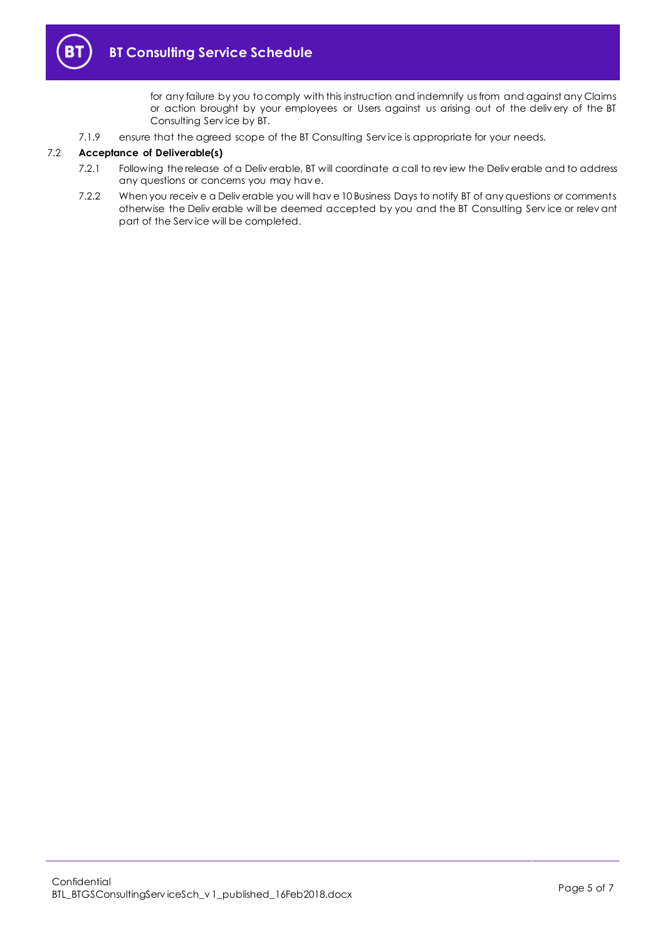

for any failure by you to comply with this instruction and indemnify us from and against any Claims or action brought by your employees or Users against us arising out of the deliv ery of the BT Consulting Serv ice by BT.

7.1.9 ensure that the agreed scope of the BT Consulting Serv ice is appropriate for your needs.

#### 7.2 **Acceptance of Deliverable(s)**

- 7.2.1 Following the release of a Deliv erable, BT will coordinate a call to rev iew the Deliv erable and to address any questions or concerns you may hav e.
- 7.2.2 When you receiv e a Deliv erable you will hav e 10 Business Days to notify BT of any questions or comments otherwise the Deliv erable will be deemed accepted by you and the BT Consulting Serv ice or relev ant part of the Serv ice will be completed.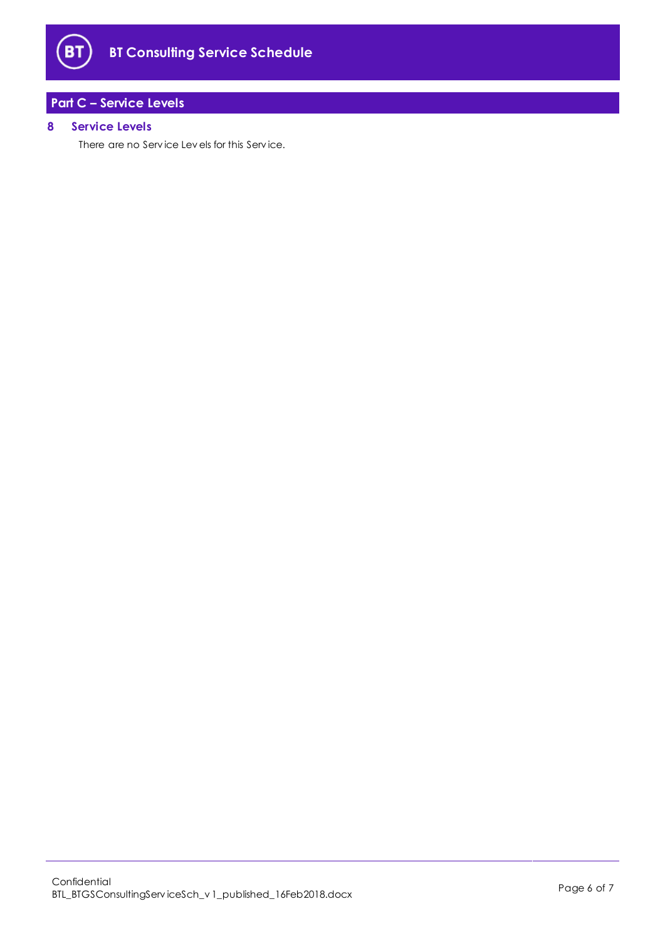

# <span id="page-5-0"></span>**Part C – Service Levels**

# <span id="page-5-1"></span>**8 Service Levels**

There are no Serv ice Lev els for this Serv ice.